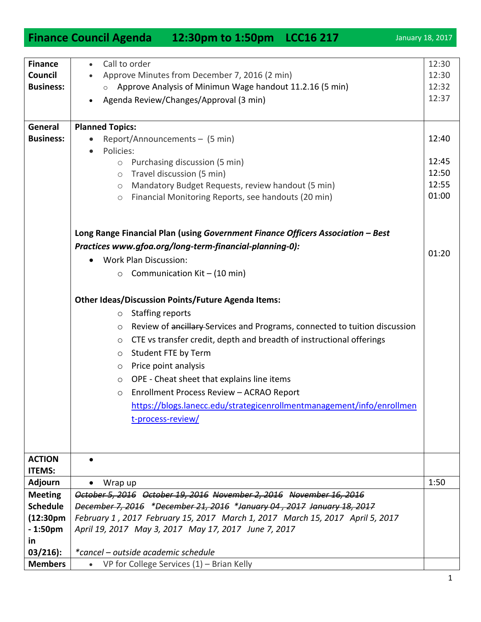|                           | Finance Council Agenda 12:30pm to 1:50pm LCC16 217                                                        | January 18, 2017 |
|---------------------------|-----------------------------------------------------------------------------------------------------------|------------------|
|                           |                                                                                                           |                  |
| <b>Finance</b><br>Council | Call to order<br>$\bullet$                                                                                | 12:30            |
| <b>Business:</b>          | Approve Minutes from December 7, 2016 (2 min)<br>Approve Analysis of Minimun Wage handout 11.2.16 (5 min) | 12:30<br>12:32   |
|                           | Agenda Review/Changes/Approval (3 min)                                                                    | 12:37            |
|                           |                                                                                                           |                  |
| General                   | <b>Planned Topics:</b>                                                                                    |                  |
| <b>Business:</b>          | Report/Announcements - (5 min)                                                                            | 12:40            |
|                           | Policies:<br>$\bullet$                                                                                    |                  |
|                           | Purchasing discussion (5 min)<br>$\circlearrowright$                                                      | 12:45            |
|                           | Travel discussion (5 min)<br>$\circ$                                                                      | 12:50            |
|                           | Mandatory Budget Requests, review handout (5 min)<br>$\circ$                                              | 12:55            |
|                           | Financial Monitoring Reports, see handouts (20 min)<br>$\circlearrowright$                                | 01:00            |
|                           |                                                                                                           |                  |
|                           | Long Range Financial Plan (using Government Finance Officers Association - Best                           |                  |
|                           | Practices www.gfoa.org/long-term-financial-planning-0):                                                   | 01:20            |
|                           | <b>Work Plan Discussion:</b>                                                                              |                  |
|                           | Communication Kit - (10 min)<br>$\circ$                                                                   |                  |
|                           | <b>Other Ideas/Discussion Points/Future Agenda Items:</b>                                                 |                  |
|                           | <b>Staffing reports</b><br>$\circ$                                                                        |                  |
|                           | Review of ancillary Services and Programs, connected to tuition discussion<br>$\circ$                     |                  |
|                           | CTE vs transfer credit, depth and breadth of instructional offerings<br>$\circ$                           |                  |
|                           | Student FTE by Term<br>$\circ$                                                                            |                  |
|                           | Price point analysis<br>$\circ$                                                                           |                  |
|                           | OPE - Cheat sheet that explains line items<br>$\circ$                                                     |                  |
|                           | Enrollment Process Review - ACRAO Report<br>$\circ$                                                       |                  |
|                           | https://blogs.lanecc.edu/strategicenrollmentmanagement/info/enrollmen                                     |                  |
|                           | t-process-review/                                                                                         |                  |
|                           |                                                                                                           |                  |
|                           |                                                                                                           |                  |
| <b>ACTION</b>             |                                                                                                           |                  |
| <b>ITEMS:</b>             |                                                                                                           |                  |
| <b>Adjourn</b>            | Wrap up                                                                                                   | 1:50             |
| <b>Meeting</b>            | October 5, 2016 October 19, 2016 November 2, 2016 November 16, 2016                                       |                  |
| <b>Schedule</b>           | December 7, 2016 *December 21, 2016 *January 04, 2017 January 18, 2017                                    |                  |
| (12:30 <sub>pm</sub> )    | February 1, 2017 February 15, 2017 March 1, 2017 March 15, 2017 April 5, 2017                             |                  |
| $-1:50pm$<br><u>in</u>    | April 19, 2017 May 3, 2017 May 17, 2017 June 7, 2017                                                      |                  |
| $03/216$ :                | *cancel - outside academic schedule                                                                       |                  |
| <b>Members</b>            | VP for College Services $(1)$ – Brian Kelly<br>$\bullet$                                                  |                  |
|                           |                                                                                                           |                  |